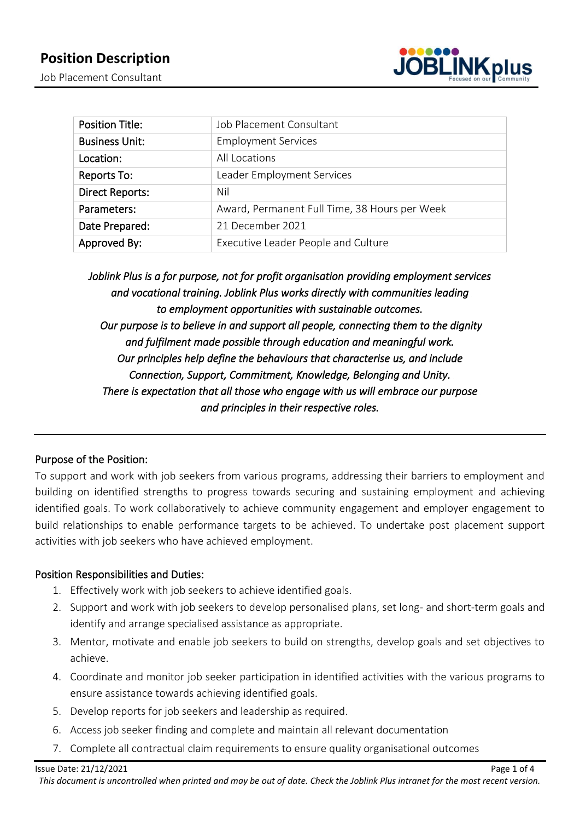

| <b>Position Title:</b> | Job Placement Consultant                      |
|------------------------|-----------------------------------------------|
| <b>Business Unit:</b>  | <b>Employment Services</b>                    |
| Location:              | All Locations                                 |
| Reports To:            | Leader Employment Services                    |
| <b>Direct Reports:</b> | Nil                                           |
| Parameters:            | Award, Permanent Full Time, 38 Hours per Week |
| Date Prepared:         | 21 December 2021                              |
| Approved By:           | Executive Leader People and Culture           |

*Joblink Plus is a for purpose, not for profit organisation providing employment services and vocational training. Joblink Plus works directly with communities leading to employment opportunities with sustainable outcomes. Our purpose is to believe in and support all people, connecting them to the dignity and fulfilment made possible through education and meaningful work. Our principles help define the behaviours that characterise us, and include Connection, Support, Commitment, Knowledge, Belonging and Unity. There is expectation that all those who engage with us will embrace our purpose and principles in their respective roles.* 

# Purpose of the Position:

To support and work with job seekers from various programs, addressing their barriers to employment and building on identified strengths to progress towards securing and sustaining employment and achieving identified goals. To work collaboratively to achieve community engagement and employer engagement to build relationships to enable performance targets to be achieved. To undertake post placement support activities with job seekers who have achieved employment.

## Position Responsibilities and Duties:

- 1. Effectively work with job seekers to achieve identified goals.
- 2. Support and work with job seekers to develop personalised plans, set long- and short-term goals and identify and arrange specialised assistance as appropriate.
- 3. Mentor, motivate and enable job seekers to build on strengths, develop goals and set objectives to achieve.
- 4. Coordinate and monitor job seeker participation in identified activities with the various programs to ensure assistance towards achieving identified goals.
- 5. Develop reports for job seekers and leadership as required.
- 6. Access job seeker finding and complete and maintain all relevant documentation
- 7. Complete all contractual claim requirements to ensure quality organisational outcomes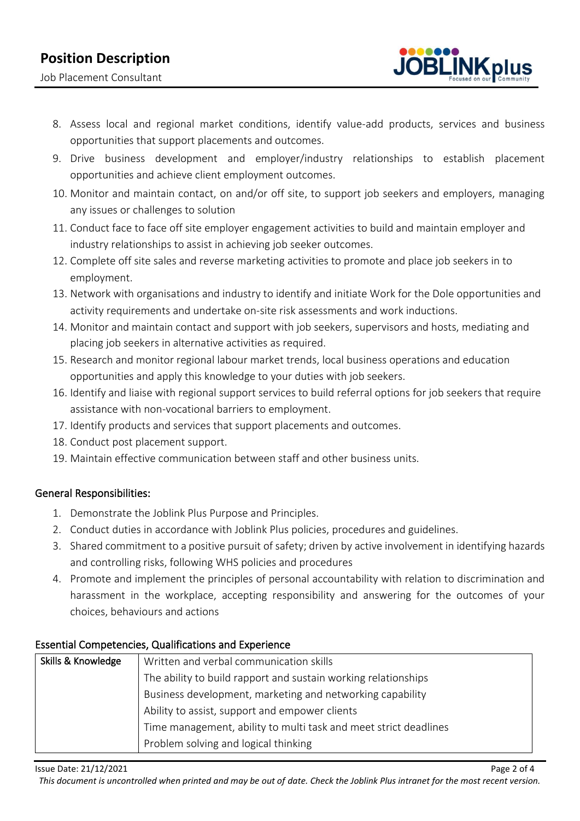# **Position Description**

Job Placement Consultant



- 8. Assess local and regional market conditions, identify value-add products, services and business opportunities that support placements and outcomes.
- 9. Drive business development and employer/industry relationships to establish placement opportunities and achieve client employment outcomes.
- 10. Monitor and maintain contact, on and/or off site, to support job seekers and employers, managing any issues or challenges to solution
- 11. Conduct face to face off site employer engagement activities to build and maintain employer and industry relationships to assist in achieving job seeker outcomes.
- 12. Complete off site sales and reverse marketing activities to promote and place job seekers in to employment.
- 13. Network with organisations and industry to identify and initiate Work for the Dole opportunities and activity requirements and undertake on-site risk assessments and work inductions.
- 14. Monitor and maintain contact and support with job seekers, supervisors and hosts, mediating and placing job seekers in alternative activities as required.
- 15. Research and monitor regional labour market trends, local business operations and education opportunities and apply this knowledge to your duties with job seekers.
- 16. Identify and liaise with regional support services to build referral options for job seekers that require assistance with non-vocational barriers to employment.
- 17. Identify products and services that support placements and outcomes.
- 18. Conduct post placement support.
- 19. Maintain effective communication between staff and other business units.

## General Responsibilities:

- 1. Demonstrate the Joblink Plus Purpose and Principles.
- 2. Conduct duties in accordance with Joblink Plus policies, procedures and guidelines.
- 3. Shared commitment to a positive pursuit of safety; driven by active involvement in identifying hazards and controlling risks, following WHS policies and procedures
- 4. Promote and implement the principles of personal accountability with relation to discrimination and harassment in the workplace, accepting responsibility and answering for the outcomes of your choices, behaviours and actions

# Essential Competencies, Qualifications and Experience

| Skills & Knowledge | Written and verbal communication skills                          |  |
|--------------------|------------------------------------------------------------------|--|
|                    | The ability to build rapport and sustain working relationships   |  |
|                    | Business development, marketing and networking capability        |  |
|                    | Ability to assist, support and empower clients                   |  |
|                    | Time management, ability to multi task and meet strict deadlines |  |
|                    | Problem solving and logical thinking                             |  |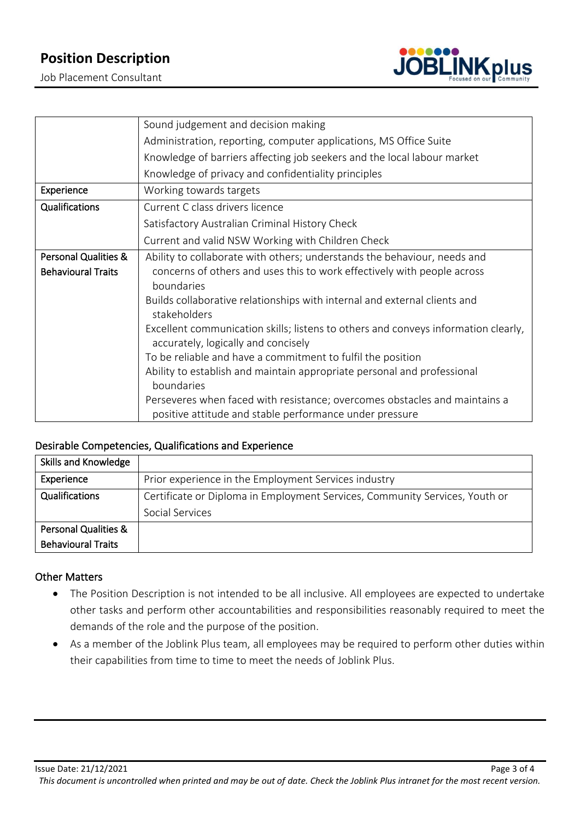# **Position Description**

Job Placement Consultant



|                                 | Sound judgement and decision making                                                                                       |
|---------------------------------|---------------------------------------------------------------------------------------------------------------------------|
|                                 | Administration, reporting, computer applications, MS Office Suite                                                         |
|                                 | Knowledge of barriers affecting job seekers and the local labour market                                                   |
|                                 | Knowledge of privacy and confidentiality principles                                                                       |
| Experience                      | Working towards targets                                                                                                   |
| Qualifications                  | Current C class drivers licence                                                                                           |
|                                 | Satisfactory Australian Criminal History Check                                                                            |
|                                 | Current and valid NSW Working with Children Check                                                                         |
| <b>Personal Qualities &amp;</b> | Ability to collaborate with others; understands the behaviour, needs and                                                  |
| <b>Behavioural Traits</b>       | concerns of others and uses this to work effectively with people across<br>boundaries                                     |
|                                 | Builds collaborative relationships with internal and external clients and<br>stakeholders                                 |
|                                 | Excellent communication skills; listens to others and conveys information clearly,<br>accurately, logically and concisely |
|                                 | To be reliable and have a commitment to fulfil the position                                                               |
|                                 | Ability to establish and maintain appropriate personal and professional                                                   |
|                                 | boundaries                                                                                                                |
|                                 | Perseveres when faced with resistance; overcomes obstacles and maintains a                                                |
|                                 | positive attitude and stable performance under pressure                                                                   |

#### Desirable Competencies, Qualifications and Experience

| Skills and Knowledge            |                                                                             |
|---------------------------------|-----------------------------------------------------------------------------|
| Experience                      | Prior experience in the Employment Services industry                        |
| Qualifications                  | Certificate or Diploma in Employment Services, Community Services, Youth or |
|                                 | Social Services                                                             |
| <b>Personal Qualities &amp;</b> |                                                                             |
| <b>Behavioural Traits</b>       |                                                                             |

#### Other Matters

- The Position Description is not intended to be all inclusive. All employees are expected to undertake other tasks and perform other accountabilities and responsibilities reasonably required to meet the demands of the role and the purpose of the position.
- As a member of the Joblink Plus team, all employees may be required to perform other duties within their capabilities from time to time to meet the needs of Joblink Plus.